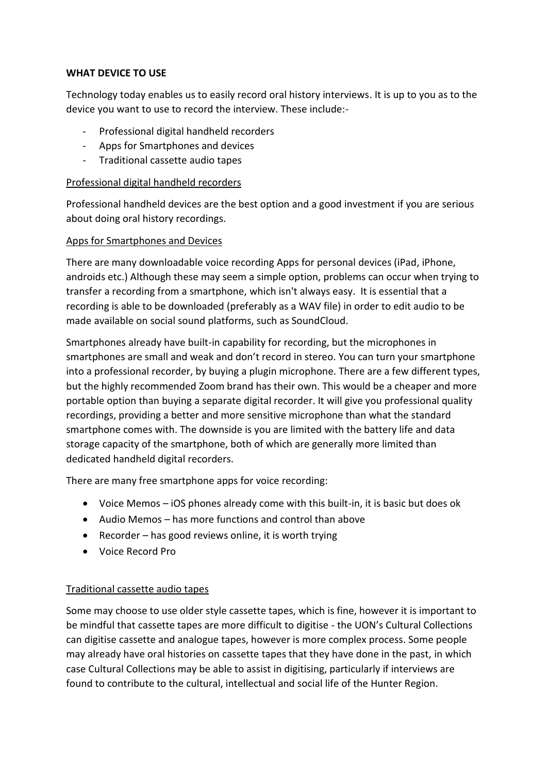### **WHAT DEVICE TO USE**

Technology today enables us to easily record oral history interviews. It is up to you as to the device you want to use to record the interview. These include:-

- Professional digital handheld recorders
- Apps for Smartphones and devices
- Traditional cassette audio tapes

### Professional digital handheld recorders

Professional handheld devices are the best option and a good investment if you are serious about doing oral history recordings.

### Apps for Smartphones and Devices

There are many downloadable voice recording Apps for personal devices (iPad, iPhone, androids etc.) Although these may seem a simple option, problems can occur when trying to transfer a recording from a smartphone, which isn't always easy. It is essential that a recording is able to be downloaded (preferably as a WAV file) in order to edit audio to be made available on social sound platforms, such as SoundCloud.

Smartphones already have built-in capability for recording, but the microphones in smartphones are small and weak and don't record in stereo. You can turn your smartphone into a professional recorder, by buying a plugin microphone. There are a few different types, but the highly recommended Zoom brand has their own. This would be a cheaper and more portable option than buying a separate digital recorder. It will give you professional quality recordings, providing a better and more sensitive microphone than what the standard smartphone comes with. The downside is you are limited with the battery life and data storage capacity of the smartphone, both of which are generally more limited than dedicated handheld digital recorders.

There are many free smartphone apps for voice recording:

- Voice Memos iOS phones already come with this built-in, it is basic but does ok
- Audio Memos has more functions and control than above
- Recorder has good reviews online, it is worth trying
- Voice Record Pro

## Traditional cassette audio tapes

Some may choose to use older style cassette tapes, which is fine, however it is important to be mindful that cassette tapes are more difficult to digitise - the UON's Cultural Collections can digitise cassette and analogue tapes, however is more complex process. Some people may already have oral histories on cassette tapes that they have done in the past, in which case Cultural Collections may be able to assist in digitising, particularly if interviews are found to contribute to the cultural, intellectual and social life of the Hunter Region.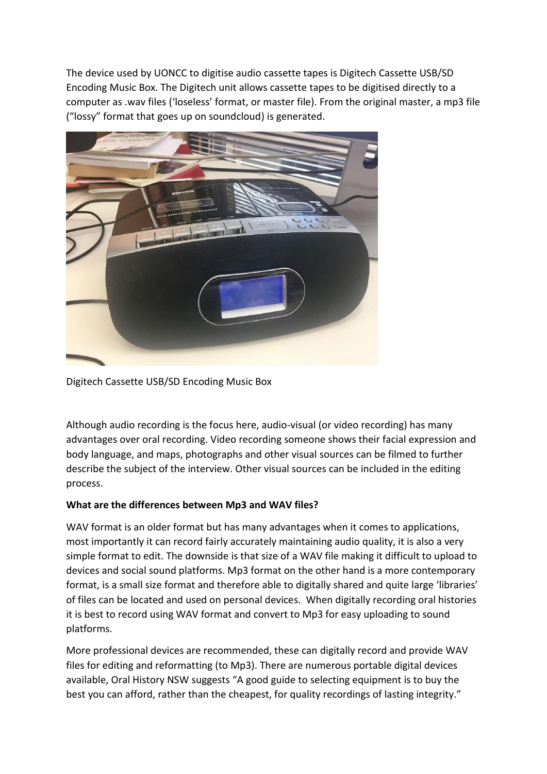The device used by UONCC to digitise audio cassette tapes is Digitech Cassette USB/SD Encoding Music Box. The Digitech unit allows cassette tapes to be digitised directly to a computer as .wav files ('loseless' format, or master file). From the original master, a mp3 file ("lossy" format that goes up on soundcloud) is generated.



Digitech Cassette USB/SD Encoding Music Box

Although audio recording is the focus here, audio-visual (or video recording) has many advantages over oral recording. Video recording someone shows their facial expression and body language, and maps, photographs and other visual sources can be filmed to further describe the subject of the interview. Other visual sources can be included in the editing process.

## **What are the differences between Mp3 and WAV files?**

WAV format is an older format but has many advantages when it comes to applications, most importantly it can record fairly accurately maintaining audio quality, it is also a very simple format to edit. The downside is that size of a WAV file making it difficult to upload to devices and social sound platforms. Mp3 format on the other hand is a more contemporary format, is a small size format and therefore able to digitally shared and quite large 'libraries' of files can be located and used on personal devices. When digitally recording oral histories it is best to record using WAV format and convert to Mp3 for easy uploading to sound platforms.

More professional devices are recommended, these can digitally record and provide WAV files for editing and reformatting (to Mp3). There are numerous portable digital devices available, Oral History NSW suggests "A good guide to selecting equipment is to buy the best you can afford, rather than the cheapest, for quality recordings of lasting integrity."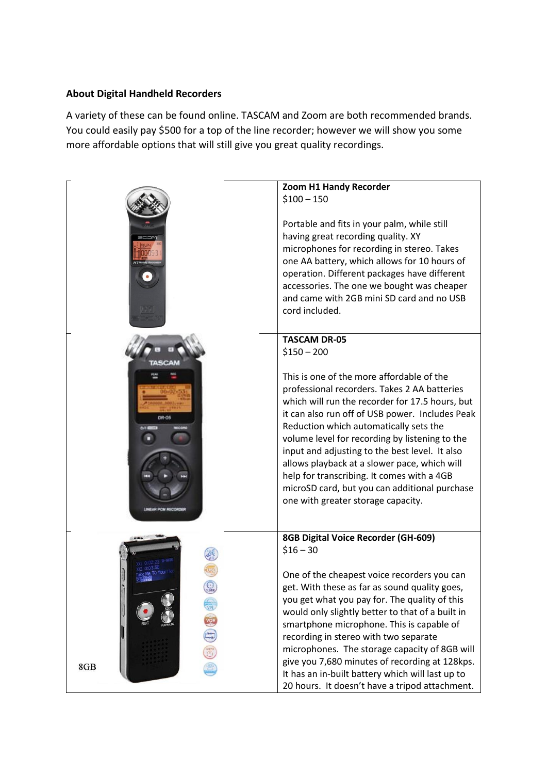# **About Digital Handheld Recorders**

A variety of these can be found online. TASCAM and Zoom are both recommended brands. You could easily pay \$500 for a top of the line recorder; however we will show you some more affordable options that will still give you great quality recordings.

|                         | Zoom H1 Handy Recorder<br>$$100 - 150$<br>Portable and fits in your palm, while still<br>having great recording quality. XY<br>microphones for recording in stereo. Takes<br>one AA battery, which allows for 10 hours of                                                                                                                                                                                                                                                                                                          |
|-------------------------|------------------------------------------------------------------------------------------------------------------------------------------------------------------------------------------------------------------------------------------------------------------------------------------------------------------------------------------------------------------------------------------------------------------------------------------------------------------------------------------------------------------------------------|
|                         | operation. Different packages have different<br>accessories. The one we bought was cheaper<br>and came with 2GB mini SD card and no USB<br>cord included.                                                                                                                                                                                                                                                                                                                                                                          |
|                         | <b>TASCAM DR-05</b><br>$$150 - 200$                                                                                                                                                                                                                                                                                                                                                                                                                                                                                                |
| DR-05<br>AR PCM RECORDE | This is one of the more affordable of the<br>professional recorders. Takes 2 AA batteries<br>which will run the recorder for 17.5 hours, but<br>it can also run off of USB power. Includes Peak<br>Reduction which automatically sets the<br>volume level for recording by listening to the<br>input and adjusting to the best level. It also<br>allows playback at a slower pace, which will<br>help for transcribing. It comes with a 4GB<br>microSD card, but you can additional purchase<br>one with greater storage capacity. |
|                         | 8GB Digital Voice Recorder (GH-609)<br>$$16 - 30$<br>One of the cheapest voice recorders you can<br>get. With these as far as sound quality goes,<br>you get what you pay for. The quality of this<br>would only slightly better to that of a built in<br>smartphone microphone. This is capable of                                                                                                                                                                                                                                |
| 8GB                     | recording in stereo with two separate<br>microphones. The storage capacity of 8GB will<br>give you 7,680 minutes of recording at 128kps.<br>It has an in-built battery which will last up to<br>20 hours. It doesn't have a tripod attachment.                                                                                                                                                                                                                                                                                     |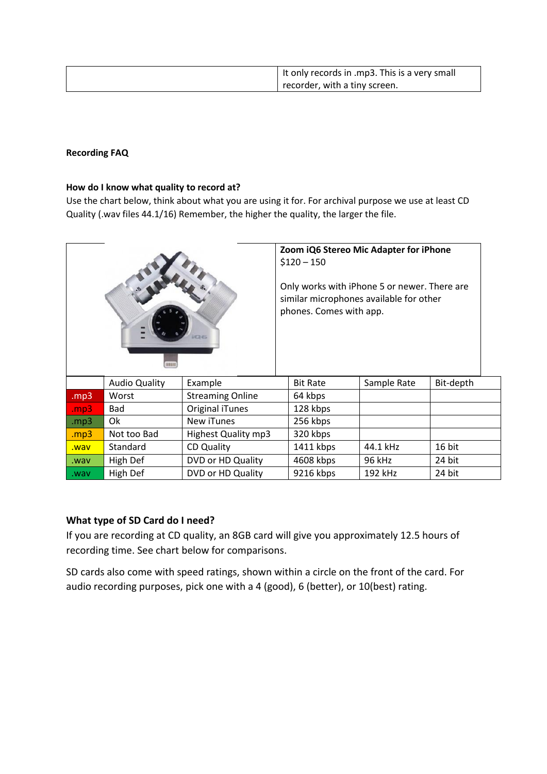| I It only records in .mp3. This is a very small |
|-------------------------------------------------|
| recorder, with a tiny screen.                   |

#### **Recording FAQ**

#### **How do I know what quality to record at?**

Use the chart below, think about what you are using it for. For archival purpose we use at least CD Quality (.wav files 44.1/16) Remember, the higher the quality, the larger the file.

| ias<br>ниш |                      | Zoom iQ6 Stereo Mic Adapter for iPhone<br>$$120 - 150$<br>Only works with iPhone 5 or newer. There are<br>similar microphones available for other<br>phones. Comes with app. |                 |             |           |
|------------|----------------------|------------------------------------------------------------------------------------------------------------------------------------------------------------------------------|-----------------|-------------|-----------|
|            | <b>Audio Quality</b> | Example                                                                                                                                                                      | <b>Bit Rate</b> | Sample Rate | Bit-depth |
| mp3        | Worst                | <b>Streaming Online</b>                                                                                                                                                      | 64 kbps         |             |           |
| mp3        | Bad                  | Original iTunes                                                                                                                                                              | 128 kbps        |             |           |
| mp3.       | 0k                   | New iTunes                                                                                                                                                                   | 256 kbps        |             |           |
| .mp3       | Not too Bad          | Highest Quality mp3                                                                                                                                                          | 320 kbps        |             |           |
| way.       | Standard             | <b>CD Quality</b>                                                                                                                                                            | 1411 kbps       | 44.1 kHz    | 16 bit    |

### **[What type of SD C](http://mymusicthing.com/hi-fi-2-0-lets-do-the-math/)ard do I need?**

If you are recording at CD quality, an 8GB card will give you approximately 12.5 hours of recording time. See chart below for comparisons.

.wav High Def DVD or HD Quality 4608 kbps 96 kHz 24 bit .wav High Def | DVD or HD Quality | 9216 kbps | 192 kHz | 24 bit

SD cards also come with speed ratings, shown within a circle on the front of the card. For audio recording purposes, pick one with a 4 (good), 6 (better), or 10(best) rating.